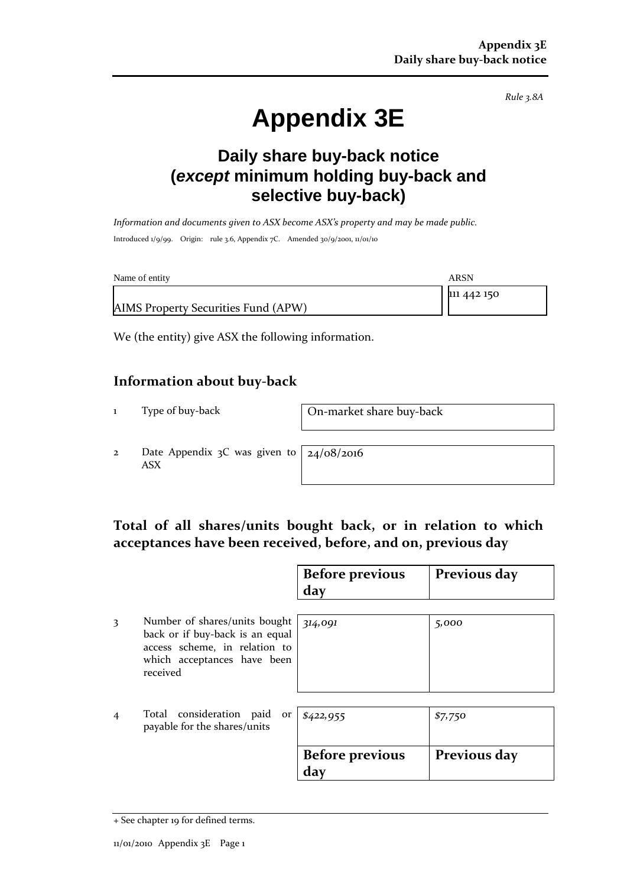*Rule 3.8A*

# **Appendix 3E**

## **Daily share buy-back notice (***except* **minimum holding buy-back and selective buy-back)**

*Information and documents given to ASX become ASX's property and may be made public.* Introduced 1/9/99. Origin: rule 3.6, Appendix 7C. Amended 30/9/2001, 11/01/10

| Name of entity                      | ARSN        |
|-------------------------------------|-------------|
|                                     | 111 442 150 |
| AIMS Property Securities Fund (APW) |             |

We (the entity) give ASX the following information.

#### **Information about buy-back**

1 Type of buy-back On-market share buy-back

2 Date Appendix 3C was given to ASX

24/08/2016

### **Total of all shares/units bought back, or in relation to which acceptances have been received, before, and on, previous day**

|   |                                                                                                                                              | <b>Before previous</b><br>day | Previous day |
|---|----------------------------------------------------------------------------------------------------------------------------------------------|-------------------------------|--------------|
| 3 | Number of shares/units bought<br>back or if buy-back is an equal<br>access scheme, in relation to<br>which acceptances have been<br>received | 314,091                       | 5,000        |
| 4 | Total consideration paid<br>or<br>payable for the shares/units                                                                               | \$422,955                     | \$7,750      |
|   |                                                                                                                                              | <b>Before previous</b><br>day | Previous day |

<sup>+</sup> See chapter 19 for defined terms.